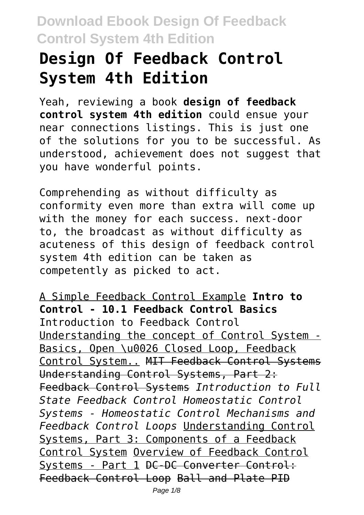# **Design Of Feedback Control System 4th Edition**

Yeah, reviewing a book **design of feedback control system 4th edition** could ensue your near connections listings. This is just one of the solutions for you to be successful. As understood, achievement does not suggest that you have wonderful points.

Comprehending as without difficulty as conformity even more than extra will come up with the money for each success. next-door to, the broadcast as without difficulty as acuteness of this design of feedback control system 4th edition can be taken as competently as picked to act.

A Simple Feedback Control Example **Intro to Control - 10.1 Feedback Control Basics** Introduction to Feedback Control Understanding the concept of Control System - Basics, Open \u0026 Closed Loop, Feedback Control System.. MIT Feedback Control Systems Understanding Control Systems, Part 2: Feedback Control Systems *Introduction to Full State Feedback Control Homeostatic Control Systems - Homeostatic Control Mechanisms and Feedback Control Loops* Understanding Control Systems, Part 3: Components of a Feedback Control System Overview of Feedback Control Systems - Part 1 DC-DC Converter Control: Feedback Control Loop Ball and Plate PID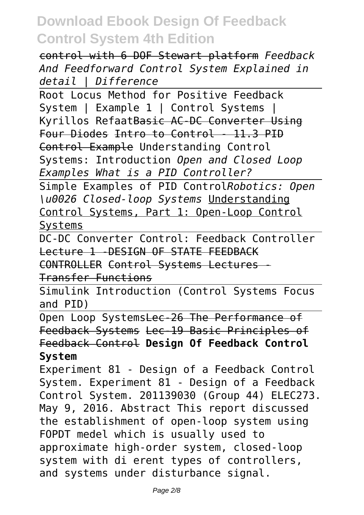control with 6 DOF Stewart platform *Feedback And Feedforward Control System Explained in detail | Difference*

Root Locus Method for Positive Feedback System | Example 1 | Control Systems | Kyrillos RefaatBasic AC-DC Converter Using Four Diodes Intro to Control - 11.3 PID Control Example Understanding Control Systems: Introduction *Open and Closed Loop Examples What is a PID Controller?*

Simple Examples of PID Control*Robotics: Open \u0026 Closed-loop Systems* Understanding Control Systems, Part 1: Open-Loop Control Systems

DC-DC Converter Control: Feedback Controller Lecture 1 -DESIGN OF STATE FEEDBACK CONTROLLER Control Systems Lectures -

Transfer Functions

Simulink Introduction (Control Systems Focus and PID)

Open Loop SystemsLec-26 The Performance of Feedback Systems Lec-19 Basic Principles of Feedback Control **Design Of Feedback Control System**

Experiment 81 - Design of a Feedback Control System. Experiment 81 - Design of a Feedback Control System. 201139030 (Group 44) ELEC273. May 9, 2016. Abstract This report discussed the establishment of open-loop system using FOPDT medel which is usually used to approximate high-order system, closed-loop system with di erent types of controllers, and systems under disturbance signal.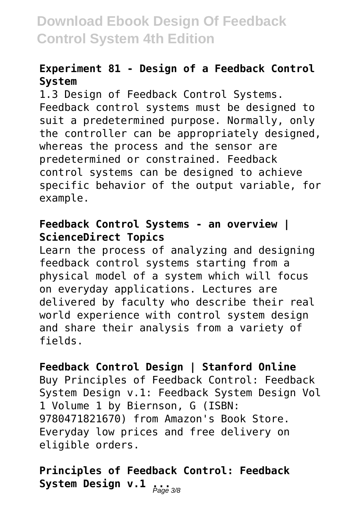#### **Experiment 81 - Design of a Feedback Control System**

1.3 Design of Feedback Control Systems. Feedback control systems must be designed to suit a predetermined purpose. Normally, only the controller can be appropriately designed, whereas the process and the sensor are predetermined or constrained. Feedback control systems can be designed to achieve specific behavior of the output variable, for example.

#### **Feedback Control Systems - an overview | ScienceDirect Topics**

Learn the process of analyzing and designing feedback control systems starting from a physical model of a system which will focus on everyday applications. Lectures are delivered by faculty who describe their real world experience with control system design and share their analysis from a variety of fields.

#### **Feedback Control Design | Stanford Online**

Buy Principles of Feedback Control: Feedback System Design v.1: Feedback System Design Vol 1 Volume 1 by Biernson, G (ISBN: 9780471821670) from Amazon's Book Store. Everyday low prices and free delivery on eligible orders.

### **Principles of Feedback Control: Feedback** System Design v.l <sub>*Page* 3/8</sub>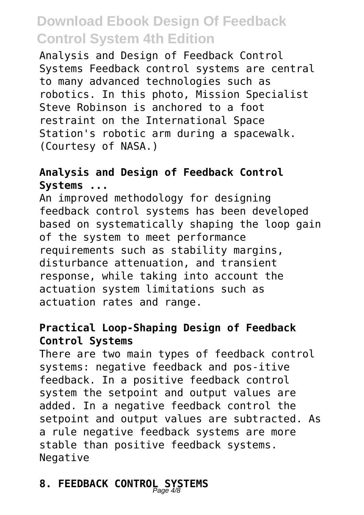Analysis and Design of Feedback Control Systems Feedback control systems are central to many advanced technologies such as robotics. In this photo, Mission Specialist Steve Robinson is anchored to a foot restraint on the International Space Station's robotic arm during a spacewalk. (Courtesy of NASA.)

#### **Analysis and Design of Feedback Control Systems ...**

An improved methodology for designing feedback control systems has been developed based on systematically shaping the loop gain of the system to meet performance requirements such as stability margins, disturbance attenuation, and transient response, while taking into account the actuation system limitations such as actuation rates and range.

#### **Practical Loop-Shaping Design of Feedback Control Systems**

There are two main types of feedback control systems: negative feedback and pos-itive feedback. In a positive feedback control system the setpoint and output values are added. In a negative feedback control the setpoint and output values are subtracted. As a rule negative feedback systems are more stable than positive feedback systems. Negative

# **8. FEEDBACK CONTROL SYSTEMS** Page 4/8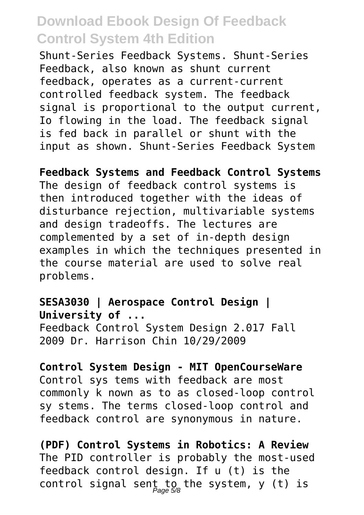Shunt-Series Feedback Systems. Shunt-Series Feedback, also known as shunt current feedback, operates as a current-current controlled feedback system. The feedback signal is proportional to the output current, Io flowing in the load. The feedback signal is fed back in parallel or shunt with the input as shown. Shunt-Series Feedback System

**Feedback Systems and Feedback Control Systems** The design of feedback control systems is then introduced together with the ideas of disturbance rejection, multivariable systems and design tradeoffs. The lectures are complemented by a set of in-depth design examples in which the techniques presented in the course material are used to solve real problems.

#### **SESA3030 | Aerospace Control Design | University of ...**

Feedback Control System Design 2.017 Fall 2009 Dr. Harrison Chin 10/29/2009

**Control System Design - MIT OpenCourseWare** Control sys tems with feedback are most commonly k nown as to as closed-loop control sy stems. The terms closed-loop control and feedback control are synonymous in nature.

**(PDF) Control Systems in Robotics: A Review** The PID controller is probably the most-used feedback control design. If u (t) is the control signal sent to the system, y (t) is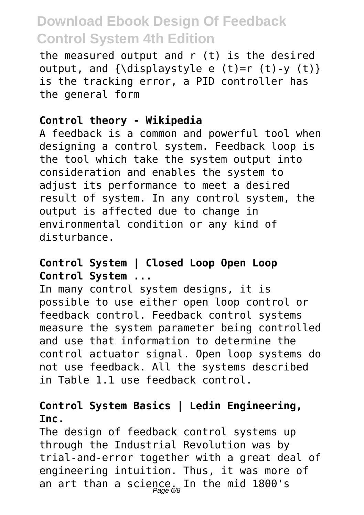the measured output and r (t) is the desired output, and  ${\displaystyle {\{\displaystyle {\langle {\rm{displavstyle}~e~(t)=r~(t)-y~(t)}\}~\} }}$ is the tracking error, a PID controller has the general form

#### **Control theory - Wikipedia**

A feedback is a common and powerful tool when designing a control system. Feedback loop is the tool which take the system output into consideration and enables the system to adjust its performance to meet a desired result of system. In any control system, the output is affected due to change in environmental condition or any kind of disturbance.

#### **Control System | Closed Loop Open Loop Control System ...**

In many control system designs, it is possible to use either open loop control or feedback control. Feedback control systems measure the system parameter being controlled and use that information to determine the control actuator signal. Open loop systems do not use feedback. All the systems described in Table 1.1 use feedback control.

#### **Control System Basics | Ledin Engineering, Inc.**

The design of feedback control systems up through the Industrial Revolution was by trial-and-error together with a great deal of engineering intuition. Thus, it was more of an art than a science. In the mid 1800's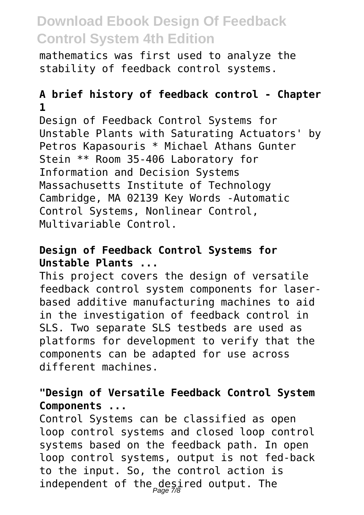mathematics was first used to analyze the stability of feedback control systems.

#### **A brief history of feedback control - Chapter 1**

Design of Feedback Control Systems for Unstable Plants with Saturating Actuators' by Petros Kapasouris \* Michael Athans Gunter Stein \*\* Room 35-406 Laboratory for Information and Decision Systems Massachusetts Institute of Technology Cambridge, MA 02139 Key Words -Automatic Control Systems, Nonlinear Control, Multivariable Control.

#### **Design of Feedback Control Systems for Unstable Plants ...**

This project covers the design of versatile feedback control system components for laserbased additive manufacturing machines to aid in the investigation of feedback control in SLS. Two separate SLS testbeds are used as platforms for development to verify that the components can be adapted for use across different machines.

#### **"Design of Versatile Feedback Control System Components ...**

Control Systems can be classified as open loop control systems and closed loop control systems based on the feedback path. In open loop control systems, output is not fed-back to the input. So, the control action is independent of the desired output. The